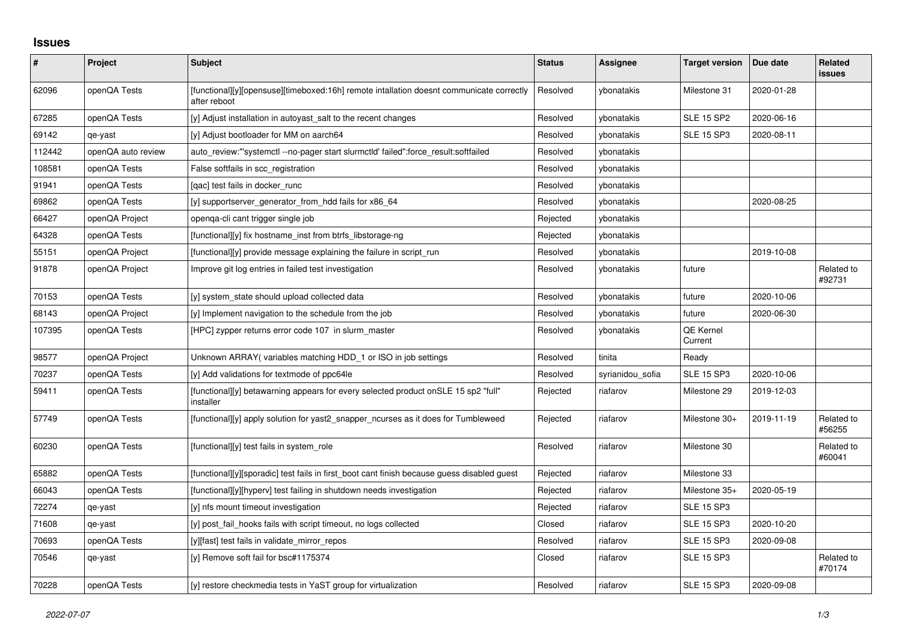## **Issues**

| $\vert$ # | Project            | <b>Subject</b>                                                                                           | <b>Status</b> | <b>Assignee</b>  | <b>Target version</b> | Due date   | Related<br>issues    |
|-----------|--------------------|----------------------------------------------------------------------------------------------------------|---------------|------------------|-----------------------|------------|----------------------|
| 62096     | openQA Tests       | [functional][y][opensuse][timeboxed:16h] remote intallation doesnt communicate correctly<br>after reboot | Resolved      | vbonatakis       | Milestone 31          | 2020-01-28 |                      |
| 67285     | openQA Tests       | [y] Adjust installation in autoyast_salt to the recent changes                                           | Resolved      | ybonatakis       | <b>SLE 15 SP2</b>     | 2020-06-16 |                      |
| 69142     | qe-yast            | [y] Adjust bootloader for MM on aarch64                                                                  | Resolved      | ybonatakis       | <b>SLE 15 SP3</b>     | 2020-08-11 |                      |
| 112442    | openQA auto review | auto_review:"'systemctl --no-pager start slurmctld' failed":force_result:softfailed                      | Resolved      | ybonatakis       |                       |            |                      |
| 108581    | openQA Tests       | False softfails in scc registration                                                                      | Resolved      | ybonatakis       |                       |            |                      |
| 91941     | openQA Tests       | [qac] test fails in docker_runc                                                                          | Resolved      | ybonatakis       |                       |            |                      |
| 69862     | openQA Tests       | [y] supportserver generator from hdd fails for x86 64                                                    | Resolved      | ybonatakis       |                       | 2020-08-25 |                      |
| 66427     | openQA Project     | openqa-cli cant trigger single job                                                                       | Rejected      | ybonatakis       |                       |            |                      |
| 64328     | openQA Tests       | [functional][y] fix hostname inst from btrfs libstorage-ng                                               | Rejected      | ybonatakis       |                       |            |                      |
| 55151     | openQA Project     | [functional][y] provide message explaining the failure in script_run                                     | Resolved      | vbonatakis       |                       | 2019-10-08 |                      |
| 91878     | openQA Project     | Improve git log entries in failed test investigation                                                     | Resolved      | ybonatakis       | future                |            | Related to<br>#92731 |
| 70153     | openQA Tests       | [y] system state should upload collected data                                                            | Resolved      | ybonatakis       | future                | 2020-10-06 |                      |
| 68143     | openQA Project     | [y] Implement navigation to the schedule from the job                                                    | Resolved      | ybonatakis       | future                | 2020-06-30 |                      |
| 107395    | openQA Tests       | [HPC] zypper returns error code 107 in slurm master                                                      | Resolved      | ybonatakis       | QE Kernel<br>Current  |            |                      |
| 98577     | openQA Project     | Unknown ARRAY (variables matching HDD 1 or ISO in job settings                                           | Resolved      | tinita           | Ready                 |            |                      |
| 70237     | openQA Tests       | [y] Add validations for textmode of ppc64le                                                              | Resolved      | syrianidou_sofia | <b>SLE 15 SP3</b>     | 2020-10-06 |                      |
| 59411     | openQA Tests       | [functional][y] betawarning appears for every selected product onSLE 15 sp2 "full"<br>installer          | Rejected      | riafarov         | Milestone 29          | 2019-12-03 |                      |
| 57749     | openQA Tests       | [functional][y] apply solution for yast2_snapper_ncurses as it does for Tumbleweed                       | Rejected      | riafarov         | Milestone 30+         | 2019-11-19 | Related to<br>#56255 |
| 60230     | openQA Tests       | [functional][y] test fails in system_role                                                                | Resolved      | riafarov         | Milestone 30          |            | Related to<br>#60041 |
| 65882     | openQA Tests       | [functional][y][sporadic] test fails in first boot cant finish because guess disabled guest              | Rejected      | riafarov         | Milestone 33          |            |                      |
| 66043     | openQA Tests       | [functional][y][hyperv] test failing in shutdown needs investigation                                     | Rejected      | riafarov         | Milestone 35+         | 2020-05-19 |                      |
| 72274     | qe-yast            | [y] nfs mount timeout investigation                                                                      | Rejected      | riafarov         | <b>SLE 15 SP3</b>     |            |                      |
| 71608     | qe-yast            | [y] post_fail_hooks fails with script timeout, no logs collected                                         | Closed        | riafarov         | <b>SLE 15 SP3</b>     | 2020-10-20 |                      |
| 70693     | openQA Tests       | [y][fast] test fails in validate_mirror_repos                                                            | Resolved      | riafarov         | <b>SLE 15 SP3</b>     | 2020-09-08 |                      |
| 70546     | qe-yast            | [y] Remove soft fail for bsc#1175374                                                                     | Closed        | riafarov         | <b>SLE 15 SP3</b>     |            | Related to<br>#70174 |
| 70228     | openQA Tests       | [y] restore checkmedia tests in YaST group for virtualization                                            | Resolved      | riafarov         | <b>SLE 15 SP3</b>     | 2020-09-08 |                      |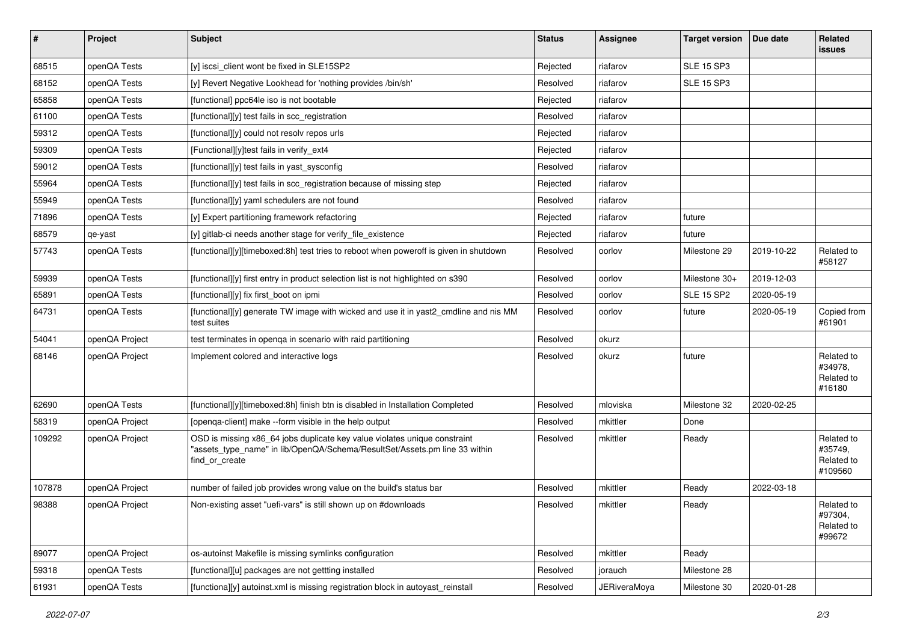| $\pmb{\#}$ | Project        | Subject                                                                                                                                                                   | <b>Status</b> | <b>Assignee</b>     | <b>Target version</b> | Due date   | Related<br><b>issues</b>                       |
|------------|----------------|---------------------------------------------------------------------------------------------------------------------------------------------------------------------------|---------------|---------------------|-----------------------|------------|------------------------------------------------|
| 68515      | openQA Tests   | [y] iscsi client wont be fixed in SLE15SP2                                                                                                                                | Rejected      | riafarov            | <b>SLE 15 SP3</b>     |            |                                                |
| 68152      | openQA Tests   | [y] Revert Negative Lookhead for 'nothing provides /bin/sh'                                                                                                               | Resolved      | riafarov            | <b>SLE 15 SP3</b>     |            |                                                |
| 65858      | openQA Tests   | [functional] ppc64le iso is not bootable                                                                                                                                  | Rejected      | riafarov            |                       |            |                                                |
| 61100      | openQA Tests   | [functional][y] test fails in scc registration                                                                                                                            | Resolved      | riafarov            |                       |            |                                                |
| 59312      | openQA Tests   | [functional][y] could not resolv repos urls                                                                                                                               | Rejected      | riafarov            |                       |            |                                                |
| 59309      | openQA Tests   | [Functional][y]test fails in verify_ext4                                                                                                                                  | Rejected      | riafarov            |                       |            |                                                |
| 59012      | openQA Tests   | [functional][y] test fails in yast sysconfig                                                                                                                              | Resolved      | riafarov            |                       |            |                                                |
| 55964      | openQA Tests   | [functional][y] test fails in scc_registration because of missing step                                                                                                    | Rejected      | riafarov            |                       |            |                                                |
| 55949      | openQA Tests   | [functional][y] yaml schedulers are not found                                                                                                                             | Resolved      | riafarov            |                       |            |                                                |
| 71896      | openQA Tests   | [y] Expert partitioning framework refactoring                                                                                                                             | Rejected      | riafarov            | future                |            |                                                |
| 68579      | qe-yast        | [y] gitlab-ci needs another stage for verify_file_existence                                                                                                               | Rejected      | riafarov            | future                |            |                                                |
| 57743      | openQA Tests   | [functional][y][timeboxed:8h] test tries to reboot when poweroff is given in shutdown                                                                                     | Resolved      | oorlov              | Milestone 29          | 2019-10-22 | Related to<br>#58127                           |
| 59939      | openQA Tests   | [functional][y] first entry in product selection list is not highlighted on s390                                                                                          | Resolved      | oorlov              | Milestone 30+         | 2019-12-03 |                                                |
| 65891      | openQA Tests   | [functional][y] fix first boot on ipmi                                                                                                                                    | Resolved      | oorlov              | <b>SLE 15 SP2</b>     | 2020-05-19 |                                                |
| 64731      | openQA Tests   | [functional][y] generate TW image with wicked and use it in yast2 cmdline and nis MM<br>test suites                                                                       | Resolved      | oorlov              | future                | 2020-05-19 | Copied from<br>#61901                          |
| 54041      | openQA Project | test terminates in openga in scenario with raid partitioning                                                                                                              | Resolved      | okurz               |                       |            |                                                |
| 68146      | openQA Project | Implement colored and interactive logs                                                                                                                                    | Resolved      | okurz               | future                |            | Related to<br>#34978,<br>Related to<br>#16180  |
| 62690      | openQA Tests   | [functional][y][timeboxed:8h] finish btn is disabled in Installation Completed                                                                                            | Resolved      | mloviska            | Milestone 32          | 2020-02-25 |                                                |
| 58319      | openQA Project | [openga-client] make --form visible in the help output                                                                                                                    | Resolved      | mkittler            | Done                  |            |                                                |
| 109292     | openQA Project | OSD is missing x86_64 jobs duplicate key value violates unique constraint<br>"assets_type_name" in lib/OpenQA/Schema/ResultSet/Assets.pm line 33 within<br>find or create | Resolved      | mkittler            | Ready                 |            | Related to<br>#35749,<br>Related to<br>#109560 |
| 107878     | openQA Project | number of failed job provides wrong value on the build's status bar                                                                                                       | Resolved      | mkittler            | Ready                 | 2022-03-18 |                                                |
| 98388      | openQA Project | Non-existing asset "uefi-vars" is still shown up on #downloads                                                                                                            | Resolved      | mkittler            | Ready                 |            | Related to<br>#97304,<br>Related to<br>#99672  |
| 89077      | openQA Project | os-autoinst Makefile is missing symlinks configuration                                                                                                                    | Resolved      | mkittler            | Ready                 |            |                                                |
| 59318      | openQA Tests   | [functional][u] packages are not gettting installed                                                                                                                       | Resolved      | jorauch             | Milestone 28          |            |                                                |
| 61931      | openQA Tests   | [functiona][y] autoinst.xml is missing registration block in autoyast_reinstall                                                                                           | Resolved      | <b>JERiveraMoya</b> | Milestone 30          | 2020-01-28 |                                                |